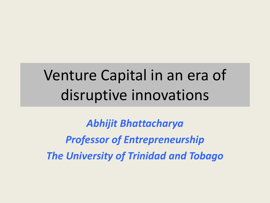## Venture Capital in an era of disruptive innovations

*Abhijit Bhattacharya Professor of Entrepreneurship The University of Trinidad and Tobago*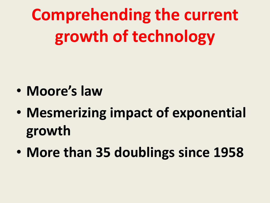**Comprehending the current growth of technology**

- **Moore's law**
- **Mesmerizing impact of exponential growth**
- **More than 35 doublings since 1958**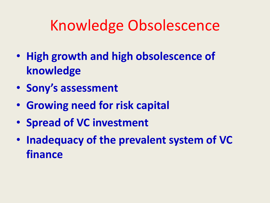### Knowledge Obsolescence

- **High growth and high obsolescence of knowledge**
- **Sony's assessment**
- **Growing need for risk capital**
- **Spread of VC investment**
- **Inadequacy of the prevalent system of VC finance**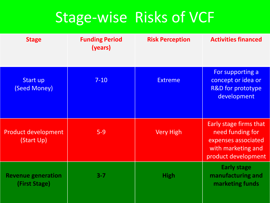#### Stage-wise Risks of VCF

| <b>Stage</b>                               | <b>Funding Period</b><br>(years) | <b>Risk Perception</b> | <b>Activities financed</b>                                                                                     |
|--------------------------------------------|----------------------------------|------------------------|----------------------------------------------------------------------------------------------------------------|
| Start up<br>(Seed Money)                   | $7 - 10$                         | <b>Extreme</b>         | For supporting a<br>concept or idea or<br><b>R&amp;D for prototype</b><br>development                          |
| <b>Product development</b><br>(Start Up)   | $5-9$                            | <b>Very High</b>       | Early stage firms that<br>need funding for<br>expenses associated<br>with marketing and<br>product development |
| <b>Revenue generation</b><br>(First Stage) | $3 - 7$                          | <b>High</b>            | <b>Early stage</b><br>manufacturing and<br>marketing funds                                                     |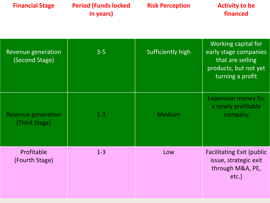| <b>Financial Stage</b>                     | <b>Period (Funds locked)</b><br>in years) | <b>Risk Perception</b> | <b>Activity to be</b><br>financed                                                                             |
|--------------------------------------------|-------------------------------------------|------------------------|---------------------------------------------------------------------------------------------------------------|
| Revenue generation<br>(Second Stage)       | $3-5$                                     | Sufficiently high      | Working capital for<br>early stage companies<br>that are selling<br>products, but not yet<br>turning a profit |
| <b>Revenue generation</b><br>(Third Stage) | $1 - 3$                                   | <b>Medium</b>          | <b>Expansion money for</b><br>a newly profitable<br>company                                                   |
| Profitable<br>(Fourth Stage)               | $1 - 3$                                   | Low                    | <b>Facilitating Exit (public</b><br>issue, strategic exit<br>through M&A, PE,<br>etc.)                        |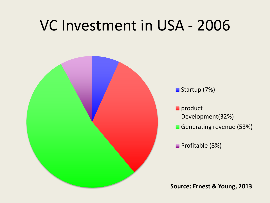#### VC Investment in USA - 2006



Startup (7%)

product Development(32%)

Generating revenue (53%)

**Profitable (8%)**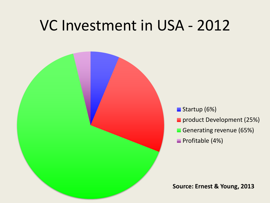#### VC Investment in USA - 2012



Startup (6%)

- **product Development (25%)**
- Generating revenue (65%)
- **Profitable (4%)**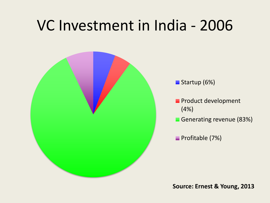#### VC Investment in India - 2006



Startup (6%)

- **Product development** (4%)
- Generating revenue (83%)

**Profitable (7%)**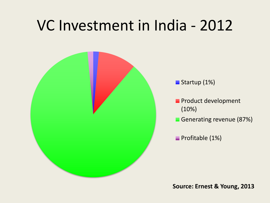#### VC Investment in India - 2012



Startup (1%)

- **Product development** (10%)
- Generating revenue (87%)

**Profitable (1%)**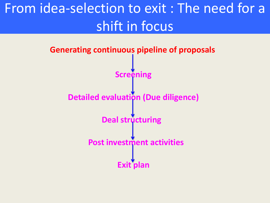#### From idea-selection to exit : The need for a shift in focus

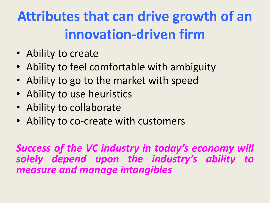## **Attributes that can drive growth of an innovation-driven firm**

- Ability to create
- Ability to feel comfortable with ambiguity
- Ability to go to the market with speed
- Ability to use heuristics
- Ability to collaborate
- Ability to co-create with customers

*Success of the VC industry in today's economy will solely depend upon the industry's ability to measure and manage intangibles*